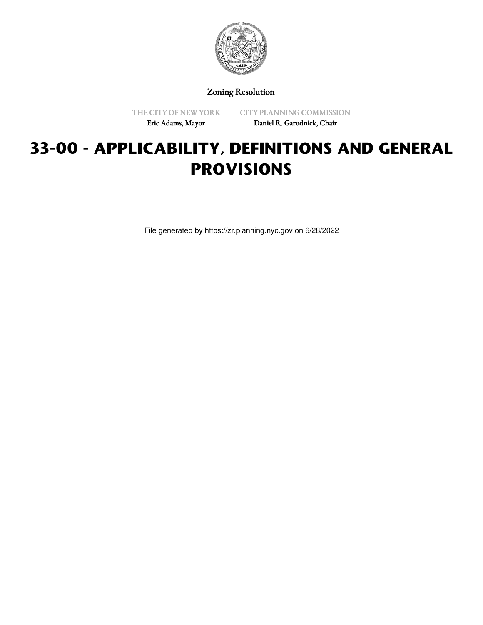

Zoning Resolution

THE CITY OF NEW YORK Eric Adams, Mayor

CITY PLANNING COMMISSION Daniel R. Garodnick, Chair

# **33-00 - APPLICABILITY, DEFINITIONS AND GENERAL PROVISIONS**

File generated by https://zr.planning.nyc.gov on 6/28/2022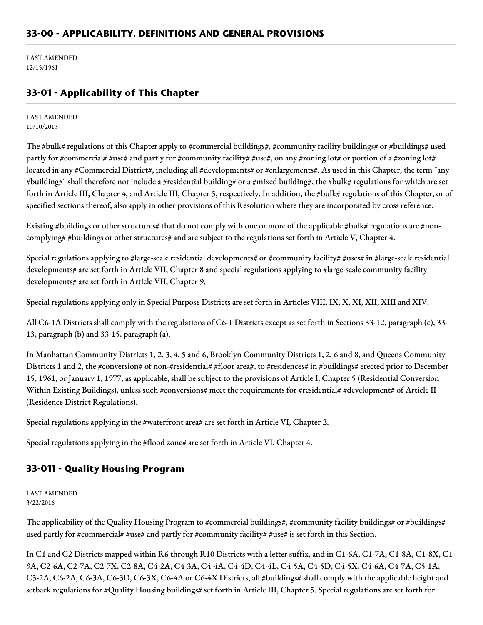LAST AMENDED 12/15/1961

# **33-01 - Applicability of This Chapter**

LAST AMENDED 10/10/2013

The #bulk# regulations of this Chapter apply to #commercial buildings#, #community facility buildings# or #buildings# used partly for #commercial# #use# and partly for #community facility# #use#, on any #zoning lot# or portion of a #zoning lot# located in any #Commercial District#, including all #developments# or #enlargements#. As used in this Chapter, the term "any #building#" shall therefore not include a #residential building# or a #mixed building#, the #bulk# regulations for which are set forth in Article III, Chapter 4, and Article III, Chapter 5, respectively. In addition, the #bulk# regulations of this Chapter, or of specified sections thereof, also apply in other provisions of this Resolution where they are incorporated by cross reference.

Existing #buildings or other structures# that do not comply with one or more of the applicable #bulk# regulations are #noncomplying# #buildings or other structures# and are subject to the regulations set forth in Article V, Chapter 4.

Special regulations applying to #large-scale residential developments# or #community facility# #uses# in #large-scale residential developments# are set forth in Article VII, Chapter 8 and special regulations applying to #large-scale community facility developments# are set forth in Article VII, Chapter 9.

Special regulations applying only in Special Purpose Districts are set forth in Articles VIII, IX, X, XI, XII, XIII and XIV.

All C6-1A Districts shall comply with the regulations of C6-1 Districts except as set forth in Sections 33-12, paragraph (c), 33- 13, paragraph (b) and 33-15, paragraph (a).

In Manhattan Community Districts 1, 2, 3, 4, 5 and 6, Brooklyn Community Districts 1, 2, 6 and 8, and Queens Community Districts 1 and 2, the #conversion# of non-#residential# #floor area#, to #residences# in #buildings# erected prior to December 15, 1961, or January 1, 1977, as applicable, shall be subject to the provisions of Article I, Chapter 5 (Residential Conversion Within Existing Buildings), unless such #conversions# meet the requirements for #residential# #development# of Article II (Residence District Regulations).

Special regulations applying in the #waterfront area# are set forth in Article VI, Chapter 2.

Special regulations applying in the #flood zone# are set forth in Article VI, Chapter 4.

### **33-011 - Quality Housing Program**

LAST AMENDED 3/22/2016

The applicability of the Quality Housing Program to #commercial buildings#, #community facility buildings# or #buildings# used partly for #commercial# #use# and partly for #community facility# #use# is set forth in this Section.

In C1 and C2 Districts mapped within R6 through R10 Districts with a letter suffix, and in C1-6A, C1-7A, C1-8A, C1-8X, C1- 9A, C2-6A, C2-7A, C2-7X, C2-8A, C4-2A, C4-3A, C4-4A, C4-4D, C4-4L, C4-5A, C4-5D, C4-5X, C4-6A, C4-7A, C5-1A, C5-2A, C6-2A, C6-3A, C6-3D, C6-3X, C6-4A or C6-4X Districts, all #buildings# shall comply with the applicable height and setback regulations for #Quality Housing buildings# set forth in Article III, Chapter 5. Special regulations are set forth for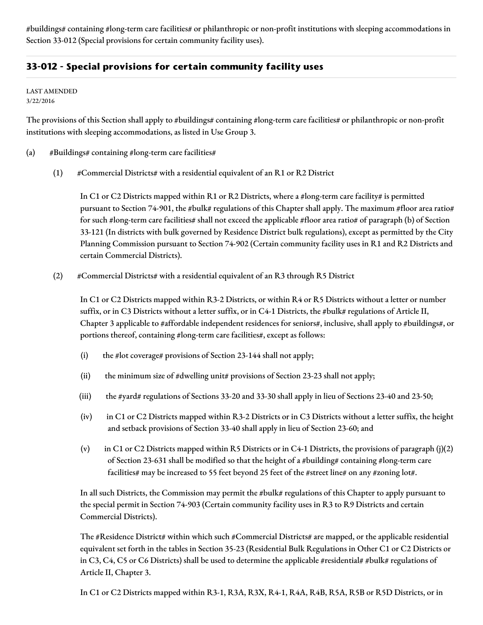#buildings# containing #long-term care facilities# or philanthropic or non-profit institutions with sleeping accommodations in Section 33-012 (Special provisions for certain community facility uses).

# **33-012 - Special provisions for certain community facility uses**

LAST AMENDED 3/22/2016

The provisions of this Section shall apply to #buildings# containing #long-term care facilities# or philanthropic or non-profit institutions with sleeping accommodations, as listed in Use Group 3.

- (a)  $\#$ Buildings# containing #long-term care facilities#
	- (1) #Commercial Districts# with a residential equivalent of an R1 or R2 District

In C1 or C2 Districts mapped within R1 or R2 Districts, where a #long-term care facility# is permitted pursuant to Section 74-901, the #bulk# regulations of this Chapter shall apply. The maximum #floor area ratio# for such #long-term care facilities# shall not exceed the applicable #floor area ratio# of paragraph (b) of Section 33-121 (In districts with bulk governed by Residence District bulk regulations), except as permitted by the City Planning Commission pursuant to Section 74-902 (Certain community facility uses in R1 and R2 Districts and certain Commercial Districts).

(2) #Commercial Districts# with a residential equivalent of an R3 through R5 District

In C1 or C2 Districts mapped within R3-2 Districts, or within R4 or R5 Districts without a letter or number suffix, or in C3 Districts without a letter suffix, or in C4-1 Districts, the #bulk# regulations of Article II, Chapter 3 applicable to #affordable independent residences for seniors#, inclusive, shall apply to #buildings#, or portions thereof, containing #long-term care facilities#, except as follows:

- (i) the #lot coverage# provisions of Section 23-144 shall not apply;
- (ii) the minimum size of #dwelling unit# provisions of Section 23-23 shall not apply;
- (iii) the #yard# regulations of Sections 33-20 and 33-30 shall apply in lieu of Sections 23-40 and 23-50;
- (iv) in C1 or C2 Districts mapped within R3-2 Districts or in C3 Districts without a letter suffix, the height and setback provisions of Section 33-40 shall apply in lieu of Section 23-60; and
- (v) in C1 or C2 Districts mapped within R5 Districts or in C4-1 Districts, the provisions of paragraph  $(j)(2)$ of Section 23-631 shall be modified so that the height of a #building# containing #long-term care facilities# may be increased to 55 feet beyond 25 feet of the #street line# on any #zoning lot#.

In all such Districts, the Commission may permit the #bulk# regulations of this Chapter to apply pursuant to the special permit in Section 74-903 (Certain community facility uses in R3 to R9 Districts and certain Commercial Districts).

The #Residence District# within which such #Commercial Districts# are mapped, or the applicable residential equivalent set forth in the tables in Section 35-23 (Residential Bulk Regulations in Other C1 or C2 Districts or in C3, C4, C5 or C6 Districts) shall be used to determine the applicable #residential# #bulk# regulations of Article II, Chapter 3.

In C1 or C2 Districts mapped within R3-1, R3A, R3X, R4-1, R4A, R4B, R5A, R5B or R5D Districts, or in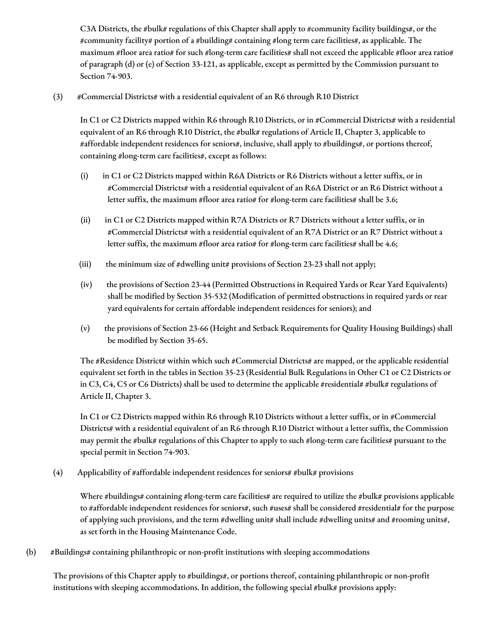C3A Districts, the #bulk# regulations of this Chapter shall apply to #community facility buildings#, or the #community facility# portion of a #building# containing #long term care facilities#, as applicable. The maximum #floor area ratio# for such #long-term care facilities# shall not exceed the applicable #floor area ratio# of paragraph (d) or (e) of Section 33-121, as applicable, except as permitted by the Commission pursuant to Section 74-903.

(3) #Commercial Districts# with a residential equivalent of an R6 through R10 District

In C1 or C2 Districts mapped within R6 through R10 Districts, or in #Commercial Districts# with a residential equivalent of an R6 through R10 District, the #bulk# regulations of Article II, Chapter 3, applicable to #affordable independent residences for seniors#, inclusive, shall apply to #buildings#, or portions thereof, containing #long-term care facilities#, except as follows:

- (i) in C1 or C2 Districts mapped within R6A Districts or R6 Districts without a letter suffix, or in #Commercial Districts# with a residential equivalent of an R6A District or an R6 District without a letter suffix, the maximum #floor area ratio# for #long-term care facilities# shall be 3.6;
- (ii) in C1 or C2 Districts mapped within R7A Districts or R7 Districts without a letter suffix, or in #Commercial Districts# with a residential equivalent of an R7A District or an R7 District without a letter suffix, the maximum #floor area ratio# for #long-term care facilities# shall be 4.6;
- (iii) the minimum size of  $\#$ dwelling unit# provisions of Section 23-23 shall not apply;
- (iv) the provisions of Section 23-44 (Permitted Obstructions in Required Yards or Rear Yard Equivalents) shall be modified by Section 35-532 (Modification of permitted obstructions in required yards or rear yard equivalents for certain affordable independent residences for seniors); and
- (v) the provisions of Section 23-66 (Height and Setback Requirements for Quality Housing Buildings) shall be modified by Section 35-65.

The #Residence District# within which such #Commercial Districts# are mapped, or the applicable residential equivalent set forth in the tables in Section 35-23 (Residential Bulk Regulations in Other C1 or C2 Districts or in C3, C4, C5 or C6 Districts) shall be used to determine the applicable #residential# #bulk# regulations of Article II, Chapter 3.

In C1 or C2 Districts mapped within R6 through R10 Districts without a letter suffix, or in #Commercial Districts# with a residential equivalent of an R6 through R10 District without a letter suffix, the Commission may permit the #bulk# regulations of this Chapter to apply to such #long-term care facilities# pursuant to the special permit in Section 74-903.

(4) Applicability of #affordable independent residences for seniors# #bulk# provisions

Where #buildings# containing #long-term care facilities# are required to utilize the #bulk# provisions applicable to #affordable independent residences for seniors#, such #uses# shall be considered #residential# for the purpose of applying such provisions, and the term #dwelling unit# shall include #dwelling units# and #rooming units#, as set forth in the Housing Maintenance Code.

(b) #Buildings# containing philanthropic or non-profit institutions with sleeping accommodations

The provisions of this Chapter apply to #buildings#, or portions thereof, containing philanthropic or non-profit institutions with sleeping accommodations. In addition, the following special #bulk# provisions apply: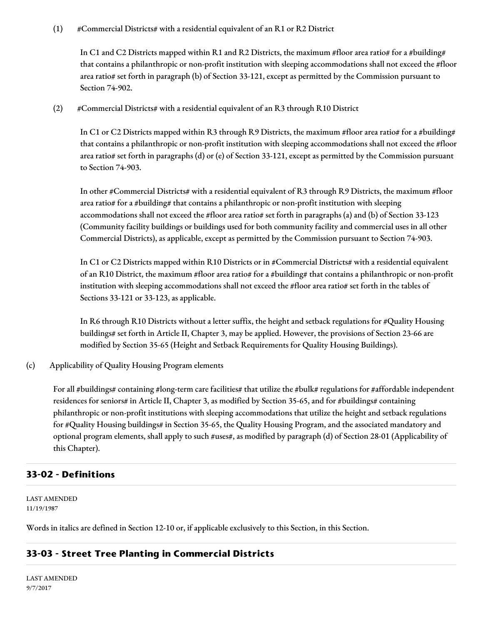#### (1) #Commercial Districts# with a residential equivalent of an R1 or R2 District

In C1 and C2 Districts mapped within R1 and R2 Districts, the maximum #floor area ratio# for a #building# that contains a philanthropic or non-profit institution with sleeping accommodations shall not exceed the #floor area ratio# set forth in paragraph (b) of Section 33-121, except as permitted by the Commission pursuant to Section 74-902.

(2) #Commercial Districts# with a residential equivalent of an R3 through R10 District

In C1 or C2 Districts mapped within R3 through R9 Districts, the maximum #floor area ratio# for a #building# that contains a philanthropic or non-profit institution with sleeping accommodations shall not exceed the #floor area ratio# set forth in paragraphs (d) or (e) of Section 33-121, except as permitted by the Commission pursuant to Section 74-903.

In other #Commercial Districts# with a residential equivalent of R3 through R9 Districts, the maximum #floor area ratio# for a #building# that contains a philanthropic or non-profit institution with sleeping accommodations shall not exceed the #floor area ratio# set forth in paragraphs (a) and (b) of Section 33-123 (Community facility buildings or buildings used for both community facility and commercial uses in all other Commercial Districts), as applicable, except as permitted by the Commission pursuant to Section 74-903.

In C1 or C2 Districts mapped within R10 Districts or in #Commercial Districts# with a residential equivalent of an R10 District, the maximum #floor area ratio# for a #building# that contains a philanthropic or non-profit institution with sleeping accommodations shall not exceed the #floor area ratio# set forth in the tables of Sections 33-121 or 33-123, as applicable.

In R6 through R10 Districts without a letter suffix, the height and setback regulations for #Quality Housing buildings# set forth in Article II, Chapter 3, may be applied. However, the provisions of Section 23-66 are modified by Section 35-65 (Height and Setback Requirements for Quality Housing Buildings).

(c) Applicability of Quality Housing Program elements

For all #buildings# containing #long-term care facilities# that utilize the #bulk# regulations for #affordable independent residences for seniors# in Article II, Chapter 3, as modified by Section 35-65, and for #buildings# containing philanthropic or non-profit institutions with sleeping accommodations that utilize the height and setback regulations for #Quality Housing buildings# in Section 35-65, the Quality Housing Program, and the associated mandatory and optional program elements, shall apply to such #uses#, as modified by paragraph (d) of Section 28-01 (Applicability of this Chapter).

### **33-02 - Definitions**

LAST AMENDED 11/19/1987

Words in italics are defined in Section 12-10 or, if applicable exclusively to this Section, in this Section.

### **33-03 - Street Tree Planting in Commercial Districts**

LAST AMENDED 9/7/2017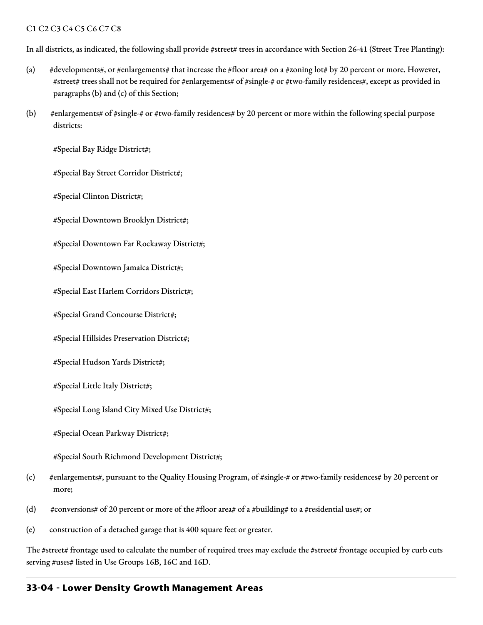#### C1 C2 C3 C4 C5 C6 C7 C8

In all districts, as indicated, the following shall provide #street# trees in accordance with Section 26-41 (Street Tree Planting):

- (a) #developments#, or #enlargements# that increase the #floor area# on a #zoning lot# by 20 percent or more. However, #street# trees shall not be required for #enlargements# of #single-# or #two-family residences#, except as provided in paragraphs (b) and (c) of this Section;
- (b) #enlargements# of #single-# or #two-family residences# by 20 percent or more within the following special purpose districts:

#Special Bay Ridge District#;

#Special Bay Street Corridor District#;

#Special Clinton District#;

#Special Downtown Brooklyn District#;

#Special Downtown Far Rockaway District#;

#Special Downtown Jamaica District#;

#Special East Harlem Corridors District#;

#Special Grand Concourse District#;

#Special Hillsides Preservation District#;

#Special Hudson Yards District#;

#Special Little Italy District#;

#Special Long Island City Mixed Use District#;

#Special Ocean Parkway District#;

#Special South Richmond Development District#;

- (c) #enlargements#, pursuant to the Quality Housing Program, of #single-# or #two-family residences# by 20 percent or more;
- (d) #conversions# of 20 percent or more of the #floor area# of a #building# to a #residential use#; or
- (e) construction of a detached garage that is 400 square feet or greater.

The #street# frontage used to calculate the number of required trees may exclude the #street# frontage occupied by curb cuts serving #uses# listed in Use Groups 16B, 16C and 16D.

#### **33-04 - Lower Density Growth Management Areas**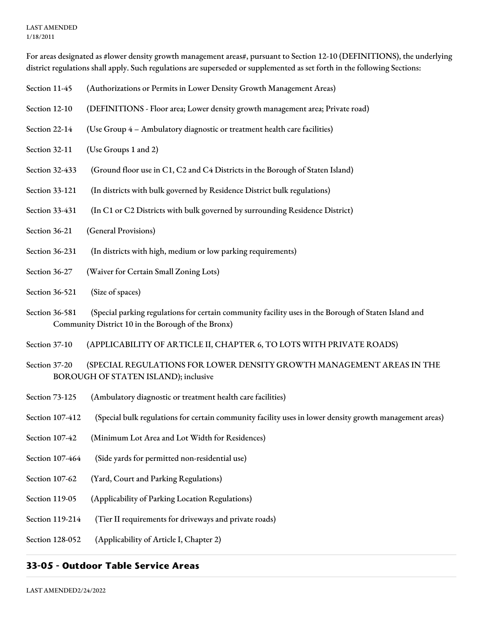#### LAST AMENDED 1/18/2011

For areas designated as #lower density growth management areas#, pursuant to Section 12-10 (DEFINITIONS), the underlying district regulations shall apply. Such regulations are superseded or supplemented as set forth in the following Sections:

- Section 11-45 (Authorizations or Permits in Lower Density Growth Management Areas)
- Section 12-10 (DEFINITIONS Floor area; Lower density growth management area; Private road)
- Section 22-14 (Use Group 4 Ambulatory diagnostic or treatment health care facilities)
- Section 32-11 (Use Groups 1 and 2)
- Section 32-433 (Ground floor use in C1, C2 and C4 Districts in the Borough of Staten Island)
- Section 33-121 (In districts with bulk governed by Residence District bulk regulations)
- Section 33-431 (In C1 or C2 Districts with bulk governed by surrounding Residence District)
- Section 36-21 (General Provisions)
- Section 36-231 (In districts with high, medium or low parking requirements)
- Section 36-27 (Waiver for Certain Small Zoning Lots)
- Section 36-521 (Size of spaces)
- Section 36-581 (Special parking regulations for certain community facility uses in the Borough of Staten Island and Community District 10 in the Borough of the Bronx)
- Section 37-10 (APPLICABILITY OF ARTICLE II, CHAPTER 6, TO LOTS WITH PRIVATE ROADS)
- Section 37-20 (SPECIAL REGULATIONS FOR LOWER DENSITY GROWTH MANAGEMENT AREAS IN THE BOROUGH OF STATEN ISLAND); inclusive
- Section 73-125 (Ambulatory diagnostic or treatment health care facilities)
- Section 107-412 (Special bulk regulations for certain community facility uses in lower density growth management areas)
- Section 107-42 (Minimum Lot Area and Lot Width for Residences)
- Section 107-464 (Side yards for permitted non-residential use)
- Section 107-62 (Yard, Court and Parking Regulations)
- Section 119-05 (Applicability of Parking Location Regulations)
- Section 119-214 (Tier II requirements for driveways and private roads)
- Section 128-052 (Applicability of Article I, Chapter 2)

### **33-05 - Outdoor Table Service Areas**